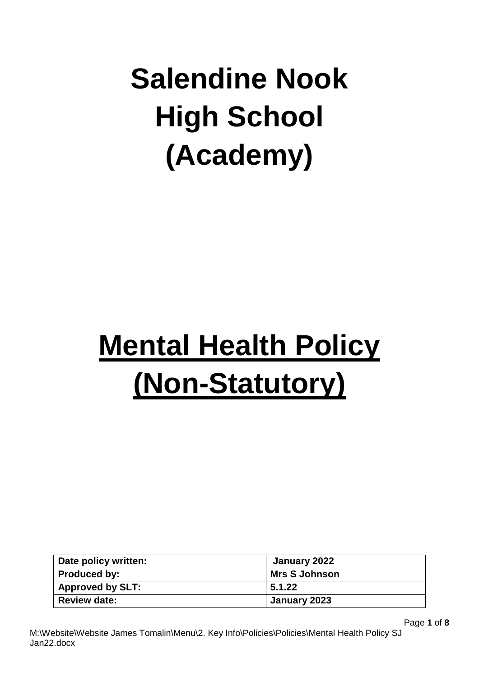# **Salendine Nook High School (Academy)**

# **Mental Health Policy (Non-Statutory)**

| Date policy written:    | January 2022         |
|-------------------------|----------------------|
| Produced by:            | <b>Mrs S Johnson</b> |
| <b>Approved by SLT:</b> | 5.1.22               |
| <b>Review date:</b>     | January 2023         |

Page **1** of **8**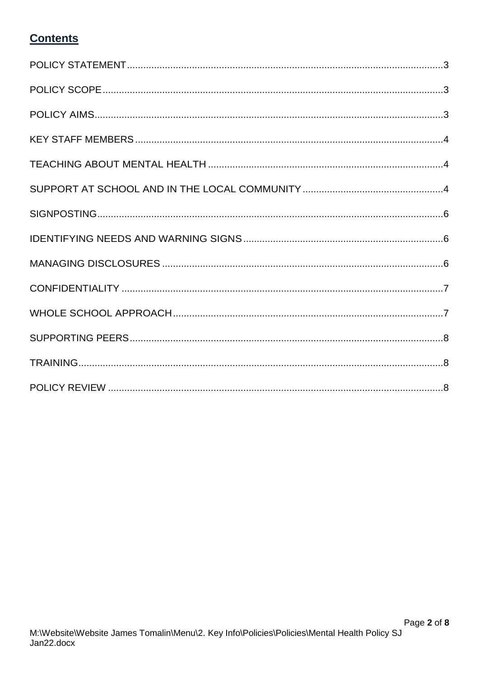# **Contents**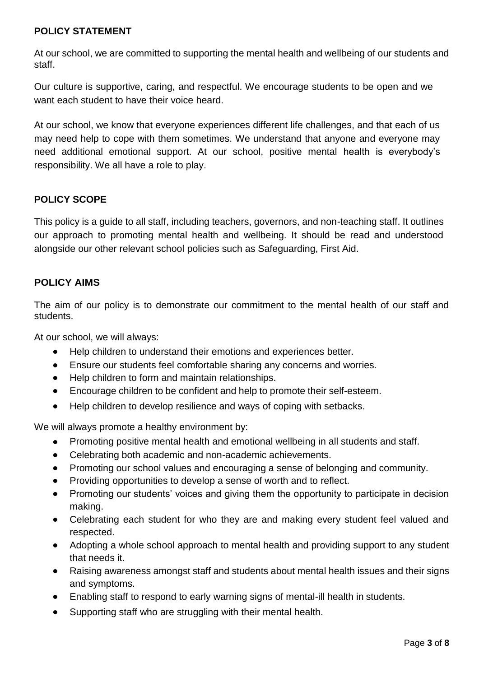#### <span id="page-2-0"></span>**POLICY STATEMENT**

At our school, we are committed to supporting the mental health and wellbeing of our students and staff.

Our culture is supportive, caring, and respectful. We encourage students to be open and we want each student to have their voice heard.

At our school, we know that everyone experiences different life challenges, and that each of us may need help to cope with them sometimes. We understand that anyone and everyone may need additional emotional support. At our school, positive mental health is everybody's responsibility. We all have a role to play.

#### <span id="page-2-1"></span>**POLICY SCOPE**

This policy is a guide to all staff, including teachers, governors, and non-teaching staff. It outlines our approach to promoting mental health and wellbeing. It should be read and understood alongside our other relevant school policies such as Safeguarding, First Aid.

#### <span id="page-2-2"></span>**POLICY AIMS**

The aim of our policy is to demonstrate our commitment to the mental health of our staff and students.

At our school, we will always:

- Help children to understand their emotions and experiences better.
- Ensure our students feel comfortable sharing any concerns and worries.
- Help children to form and maintain relationships.
- Encourage children to be confident and help to promote their self-esteem.
- Help children to develop resilience and ways of coping with setbacks.

We will always promote a healthy environment by:

- Promoting positive mental health and emotional wellbeing in all students and staff.
- Celebrating both academic and non-academic achievements.
- Promoting our school values and encouraging a sense of belonging and community.
- Providing opportunities to develop a sense of worth and to reflect.
- Promoting our students' voices and giving them the opportunity to participate in decision making.
- Celebrating each student for who they are and making every student feel valued and respected.
- Adopting <sup>a</sup> whole school approach to mental health and providing support to any student that needs it.
- Raising awareness amongst staff and students about mental health issues and their signs and symptoms.
- Enabling staff to respond to early warning signs of mental-ill health in students.
- Supporting staff who are struggling with their mental health.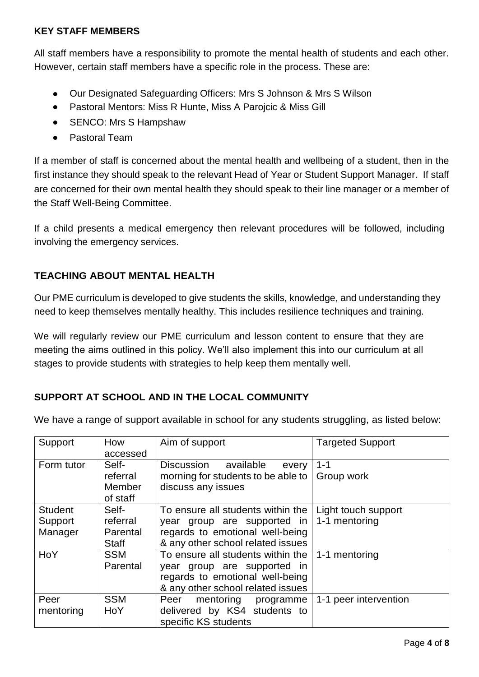#### <span id="page-3-0"></span>**KEY STAFF MEMBERS**

All staff members have a responsibility to promote the mental health of students and each other. However, certain staff members have a specific role in the process. These are:

- Our Designated Safeguarding Officers: Mrs S Johnson & Mrs S Wilson
- Pastoral Mentors: Miss R Hunte, Miss A Parojcic & Miss Gill
- SENCO: Mrs S Hampshaw
- Pastoral Team

If a member of staff is concerned about the mental health and wellbeing of a student, then in the first instance they should speak to the relevant Head of Year or Student Support Manager. If staff are concerned for their own mental health they should speak to their line manager or a member of the Staff Well-Being Committee.

If a child presents a medical emergency then relevant procedures will be followed, including involving the emergency services.

### <span id="page-3-1"></span>**TEACHING ABOUT MENTAL HEALTH**

Our PME curriculum is developed to give students the skills, knowledge, and understanding they need to keep themselves mentally healthy. This includes resilience techniques and training.

We will regularly review our PME curriculum and lesson content to ensure that they are meeting the aims outlined in this policy. We'll also implement this into our curriculum at all stages to provide students with strategies to help keep them mentally well.

### <span id="page-3-2"></span>**SUPPORT AT SCHOOL AND IN THE LOCAL COMMUNITY**

We have a range of support available in school for any students struggling, as listed below:

| Support        | How          | Aim of support                          | <b>Targeted Support</b> |
|----------------|--------------|-----------------------------------------|-------------------------|
|                | accessed     |                                         |                         |
| Form tutor     | Self-        | available<br><b>Discussion</b><br>every | $1 - 1$                 |
|                | referral     | morning for students to be able to      | Group work              |
|                | Member       | discuss any issues                      |                         |
|                | of staff     |                                         |                         |
| <b>Student</b> | Self-        | To ensure all students within the       | Light touch support     |
| Support        | referral     | year group are supported in             | 1-1 mentoring           |
| Manager        | Parental     | regards to emotional well-being         |                         |
|                | <b>Staff</b> | & any other school related issues       |                         |
| HoY            | <b>SSM</b>   | To ensure all students within the       | 1-1 mentoring           |
|                | Parental     | year group are supported in             |                         |
|                |              | regards to emotional well-being         |                         |
|                |              | & any other school related issues       |                         |
| Peer           | <b>SSM</b>   | Peer<br>mentoring<br>programme          | 1-1 peer intervention   |
| mentoring      | HoY          | delivered by KS4 students to            |                         |
|                |              | specific KS students                    |                         |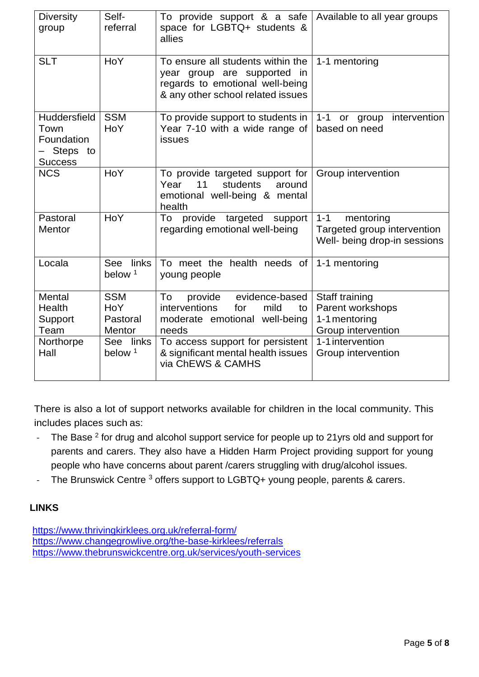| <b>Diversity</b><br>group                                                 | Self-<br>referral                              | To provide support & a safe<br>space for LGBTQ+ students &<br>allies                                                                     | Available to all year groups                                                        |
|---------------------------------------------------------------------------|------------------------------------------------|------------------------------------------------------------------------------------------------------------------------------------------|-------------------------------------------------------------------------------------|
| <b>SLT</b>                                                                | <b>HoY</b>                                     | To ensure all students within the<br>year group are supported in<br>regards to emotional well-being<br>& any other school related issues | 1-1 mentoring                                                                       |
| <b>Huddersfield</b><br>Town<br>Foundation<br>– Steps to<br><b>Success</b> | <b>SSM</b><br>HoY                              | To provide support to students in<br>Year 7-10 with a wide range of<br>issues                                                            | intervention<br>$1 - 1$<br>or group<br>based on need                                |
| <b>NCS</b>                                                                | HoY                                            | To provide targeted support for<br>11<br>Year<br>students<br>around<br>emotional well-being & mental<br>health                           | Group intervention                                                                  |
| Pastoral<br><b>Mentor</b>                                                 | HoY                                            | provide targeted support<br>To<br>regarding emotional well-being                                                                         | $1 - 1$<br>mentoring<br>Targeted group intervention<br>Well- being drop-in sessions |
| Locala                                                                    | See links<br>below <sup>1</sup>                | To meet the health needs of<br>young people                                                                                              | 1-1 mentoring                                                                       |
| Mental<br>Health<br>Support<br>Team                                       | <b>SSM</b><br><b>HoY</b><br>Pastoral<br>Mentor | To<br>evidence-based<br>provide<br><i>interventions</i><br>for<br>mild<br>to<br>moderate emotional well-being<br>needs                   | Staff training<br>Parent workshops<br>1-1 mentoring<br>Group intervention           |
| Northorpe<br>Hall                                                         | See links<br>below <sup>1</sup>                | To access support for persistent<br>& significant mental health issues<br>via ChEWS & CAMHS                                              | 1-1 intervention<br>Group intervention                                              |

There is also a lot of support networks available for children in the local community. This includes places such as:

- The Base  $2$  for drug and alcohol support service for people up to 21yrs old and support for parents and carers. They also have a Hidden Harm Project providing support for young people who have concerns about parent /carers struggling with drug/alcohol issues.
- The Brunswick Centre <sup>3</sup> offers support to LGBTQ+ young people, parents & carers.

## **LINKS**

<https://www.thrivingkirklees.org.uk/referral-form/> <https://www.changegrowlive.org/the-base-kirklees/referrals> <https://www.thebrunswickcentre.org.uk/services/youth-services>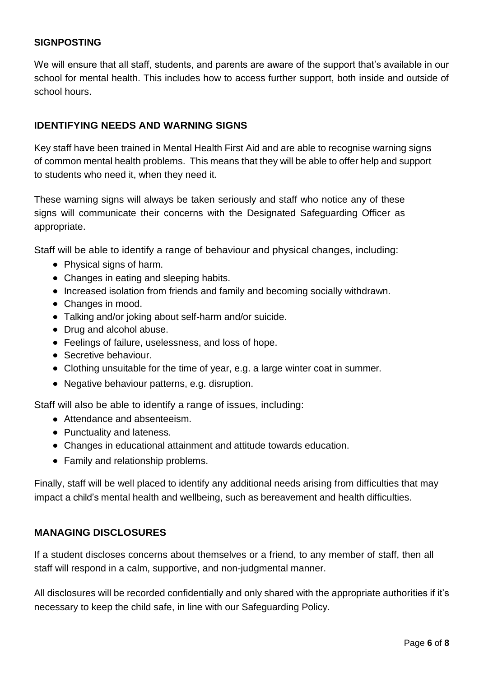#### <span id="page-5-0"></span>**SIGNPOSTING**

We will ensure that all staff, students, and parents are aware of the support that's available in our school for mental health. This includes how to access further support, both inside and outside of school hours.

#### <span id="page-5-1"></span>**IDENTIFYING NEEDS AND WARNING SIGNS**

Key staff have been trained in Mental Health First Aid and are able to recognise warning signs of common mental health problems. This means that they will be able to offer help and support to students who need it, when they need it.

These warning signs will always be taken seriously and staff who notice any of these signs will communicate their concerns with the Designated Safeguarding Officer as appropriate.

Staff will be able to identify a range of behaviour and physical changes, including:

- Physical signs of harm.
- Changes in eating and sleeping habits.
- Increased isolation from friends and family and becoming socially withdrawn.
- Changes in mood.
- Talking and/or joking about self-harm and/or suicide.
- Drug and alcohol abuse.
- Feelings of failure, uselessness, and loss of hope.
- Secretive behaviour.
- Clothing unsuitable for the time of year, e.g. a large winter coat in summer.
- Negative behaviour patterns, e.g. disruption.

Staff will also be able to identify a range of issues, including:

- Attendance and absenteeism.
- Punctuality and lateness.
- Changes in educational attainment and attitude towards education.
- Family and relationship problems.

Finally, staff will be well placed to identify any additional needs arising from difficulties that may impact a child's mental health and wellbeing, such as bereavement and health difficulties.

#### <span id="page-5-2"></span>**MANAGING DISCLOSURES**

If a student discloses concerns about themselves or a friend, to any member of staff, then all staff will respond in a calm, supportive, and non-judgmental manner.

All disclosures will be recorded confidentially and only shared with the appropriate authorities if it's necessary to keep the child safe, in line with our Safeguarding Policy.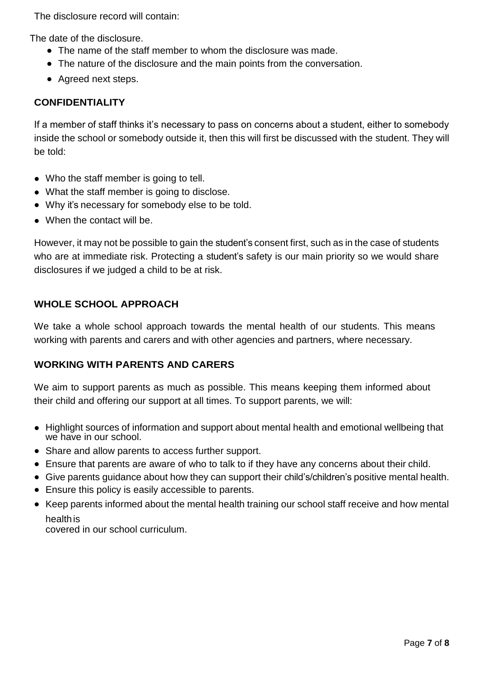The disclosure record will contain:

The date of the disclosure.

- The name of the staff member to whom the disclosure was made.
- The nature of the disclosure and the main points from the conversation.
- Agreed next steps.

#### <span id="page-6-0"></span>**CONFIDENTIALITY**

If a member of staff thinks it's necessary to pass on concerns about a student, either to somebody inside the school or somebody outside it, then this will first be discussed with the student. They will be told:

- Who the staff member is going to tell.
- What the staff member is going to disclose.
- Why it's necessary for somebody else to be told.
- When the contact will be.

However, it may not be possible to gain the student's consent first, such as in the case of students who are at immediate risk. Protecting a student's safety is our main priority so we would share disclosures if we judged a child to be at risk.

#### <span id="page-6-1"></span>**WHOLE SCHOOL APPROACH**

We take a whole school approach towards the mental health of our students. This means working with parents and carers and with other agencies and partners, where necessary.

#### **WORKING WITH PARENTS AND CARERS**

We aim to support parents as much as possible. This means keeping them informed about their child and offering our support at all times. To support parents, we will:

- Highlight sources of information and support about mental health and emotional wellbeing that we have in our school.
- Share and allow parents to access further support.
- Ensure that parents are aware of who to talk to if they have any concerns about their child.
- Give parents guidance about how they can support their child's/children's positive mental health.
- Ensure this policy is easily accessible to parents.
- Keep parents informed about the mental health training our school staff receive and how mental healthis

covered in our school curriculum.